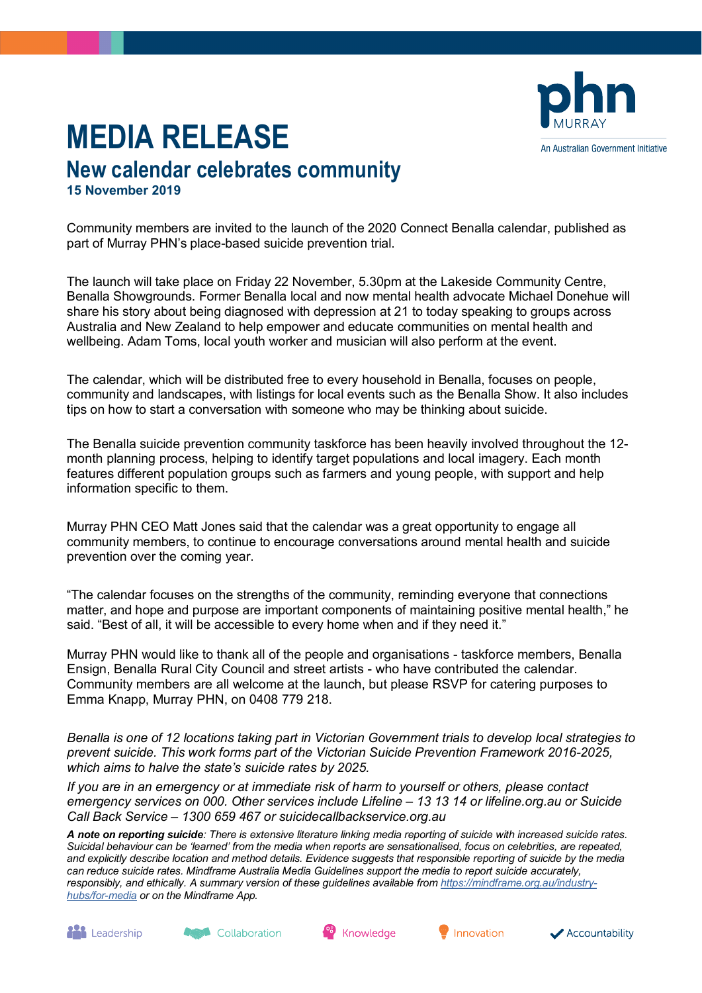

## **MEDIA RELEASE New calendar celebrates community 15 November 2019**

Community members are invited to the launch of the 2020 Connect Benalla calendar, published as part of Murray PHN's place-based suicide prevention trial.

The launch will take place on Friday 22 November, 5.30pm at the Lakeside Community Centre, Benalla Showgrounds. Former Benalla local and now mental health advocate Michael Donehue will share his story about being diagnosed with depression at 21 to today speaking to groups across Australia and New Zealand to help empower and educate communities on mental health and wellbeing. Adam Toms, local youth worker and musician will also perform at the event.

The calendar, which will be distributed free to every household in Benalla, focuses on people, community and landscapes, with listings for local events such as the Benalla Show. It also includes tips on how to start a conversation with someone who may be thinking about suicide.

The Benalla suicide prevention community taskforce has been heavily involved throughout the 12 month planning process, helping to identify target populations and local imagery. Each month features different population groups such as farmers and young people, with support and help information specific to them.

Murray PHN CEO Matt Jones said that the calendar was a great opportunity to engage all community members, to continue to encourage conversations around mental health and suicide prevention over the coming year.

"The calendar focuses on the strengths of the community, reminding everyone that connections matter, and hope and purpose are important components of maintaining positive mental health," he said. "Best of all, it will be accessible to every home when and if they need it."

Murray PHN would like to thank all of the people and organisations - taskforce members, Benalla Ensign, Benalla Rural City Council and street artists - who have contributed the calendar. Community members are all welcome at the launch, but please RSVP for catering purposes to Emma Knapp, Murray PHN, on 0408 779 218.

*Benalla is one of 12 locations taking part in Victorian Government trials to develop local strategies to prevent suicide. This work forms part of the Victorian Suicide Prevention Framework 2016-2025, which aims to halve the state's suicide rates by 2025.* 

*If you are in an emergency or at immediate risk of harm to yourself or others, please contact emergency services on 000. Other services include Lifeline – 13 13 14 or lifeline.org.au or Suicide Call Back Service – 1300 659 467 or suicidecallbackservice.org.au* 

*A note on reporting suicide: There is extensive literature linking media reporting of suicide with increased suicide rates. Suicidal behaviour can be 'learned' from the media when reports are sensationalised, focus on celebrities, are repeated, and explicitly describe location and method details. Evidence suggests that responsible reporting of suicide by the media can reduce suicide rates. Mindframe Australia Media Guidelines support the media to report suicide accurately, responsibly, and ethically. A summary version of these guidelines available from [https://mindframe.org.au/industry](https://mindframe.org.au/industry-hubs/for-media)[hubs/for-media](https://mindframe.org.au/industry-hubs/for-media) or on the Mindframe App.*

**ALL** Leadership